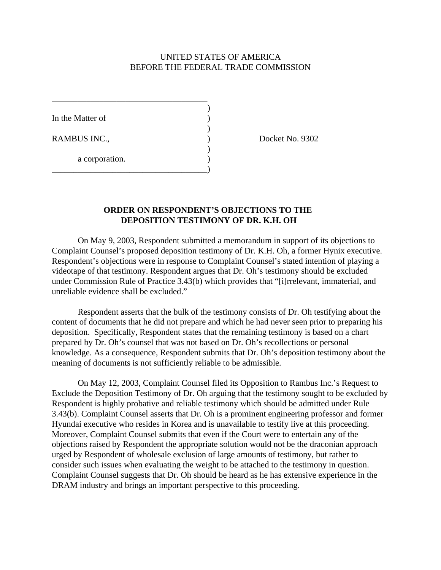## UNITED STATES OF AMERICA BEFORE THE FEDERAL TRADE COMMISSION

)

)

)

In the Matter of

a corporation.

\_\_\_\_\_\_\_\_\_\_\_\_\_\_\_\_\_\_\_\_\_\_\_\_\_\_\_\_\_\_\_\_\_\_\_\_

\_\_\_\_\_\_\_\_\_\_\_\_\_\_\_\_\_\_\_\_\_\_\_\_\_\_\_\_\_\_\_\_\_\_\_\_)

RAMBUS INC., Docket No. 9302

## **ORDER ON RESPONDENT'S OBJECTIONS TO THE DEPOSITION TESTIMONY OF DR. K.H. OH**

On May 9, 2003, Respondent submitted a memorandum in support of its objections to Complaint Counsel's proposed deposition testimony of Dr. K.H. Oh, a former Hynix executive. Respondent's objections were in response to Complaint Counsel's stated intention of playing a videotape of that testimony. Respondent argues that Dr. Oh's testimony should be excluded under Commission Rule of Practice 3.43(b) which provides that "[i]rrelevant, immaterial, and unreliable evidence shall be excluded."

Respondent asserts that the bulk of the testimony consists of Dr. Oh testifying about the content of documents that he did not prepare and which he had never seen prior to preparing his deposition. Specifically, Respondent states that the remaining testimony is based on a chart prepared by Dr. Oh's counsel that was not based on Dr. Oh's recollections or personal knowledge. As a consequence, Respondent submits that Dr. Oh's deposition testimony about the meaning of documents is not sufficiently reliable to be admissible.

On May 12, 2003, Complaint Counsel filed its Opposition to Rambus Inc.'s Request to Exclude the Deposition Testimony of Dr. Oh arguing that the testimony sought to be excluded by Respondent is highly probative and reliable testimony which should be admitted under Rule 3.43(b). Complaint Counsel asserts that Dr. Oh is a prominent engineering professor and former Hyundai executive who resides in Korea and is unavailable to testify live at this proceeding. Moreover, Complaint Counsel submits that even if the Court were to entertain any of the objections raised by Respondent the appropriate solution would not be the draconian approach urged by Respondent of wholesale exclusion of large amounts of testimony, but rather to consider such issues when evaluating the weight to be attached to the testimony in question. Complaint Counsel suggests that Dr. Oh should be heard as he has extensive experience in the DRAM industry and brings an important perspective to this proceeding.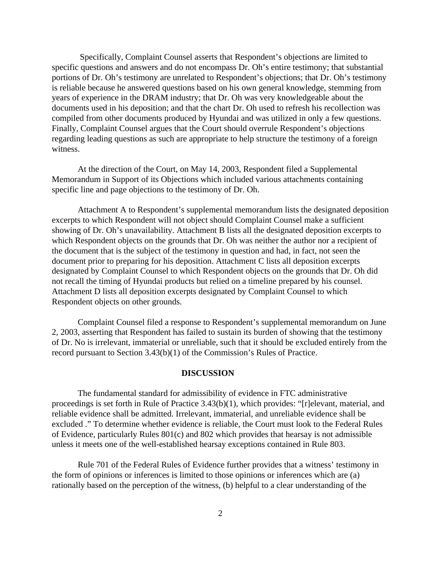Specifically, Complaint Counsel asserts that Respondent's objections are limited to specific questions and answers and do not encompass Dr. Oh's entire testimony; that substantial portions of Dr. Oh's testimony are unrelated to Respondent's objections; that Dr. Oh's testimony is reliable because he answered questions based on his own general knowledge, stemming from years of experience in the DRAM industry; that Dr. Oh was very knowledgeable about the documents used in his deposition; and that the chart Dr. Oh used to refresh his recollection was compiled from other documents produced by Hyundai and was utilized in only a few questions. Finally, Complaint Counsel argues that the Court should overrule Respondent's objections regarding leading questions as such are appropriate to help structure the testimony of a foreign witness.

At the direction of the Court, on May 14, 2003, Respondent filed a Supplemental Memorandum in Support of its Objections which included various attachments containing specific line and page objections to the testimony of Dr. Oh.

Attachment A to Respondent's supplemental memorandum lists the designated deposition excerpts to which Respondent will not object should Complaint Counsel make a sufficient showing of Dr. Oh's unavailability. Attachment B lists all the designated deposition excerpts to which Respondent objects on the grounds that Dr. Oh was neither the author nor a recipient of the document that is the subject of the testimony in question and had, in fact, not seen the document prior to preparing for his deposition. Attachment C lists all deposition excerpts designated by Complaint Counsel to which Respondent objects on the grounds that Dr. Oh did not recall the timing of Hyundai products but relied on a timeline prepared by his counsel. Attachment D lists all deposition excerpts designated by Complaint Counsel to which Respondent objects on other grounds.

Complaint Counsel filed a response to Respondent's supplemental memorandum on June 2, 2003, asserting that Respondent has failed to sustain its burden of showing that the testimony of Dr. No is irrelevant, immaterial or unreliable, such that it should be excluded entirely from the record pursuant to Section 3.43(b)(1) of the Commission's Rules of Practice.

#### **DISCUSSION**

The fundamental standard for admissibility of evidence in FTC administrative proceedings is set forth in Rule of Practice 3.43(b)(1), which provides: "[r]elevant, material, and reliable evidence shall be admitted. Irrelevant, immaterial, and unreliable evidence shall be excluded ." To determine whether evidence is reliable, the Court must look to the Federal Rules of Evidence, particularly Rules 801(c) and 802 which provides that hearsay is not admissible unless it meets one of the well-established hearsay exceptions contained in Rule 803.

Rule 701 of the Federal Rules of Evidence further provides that a witness' testimony in the form of opinions or inferences is limited to those opinions or inferences which are (a) rationally based on the perception of the witness, (b) helpful to a clear understanding of the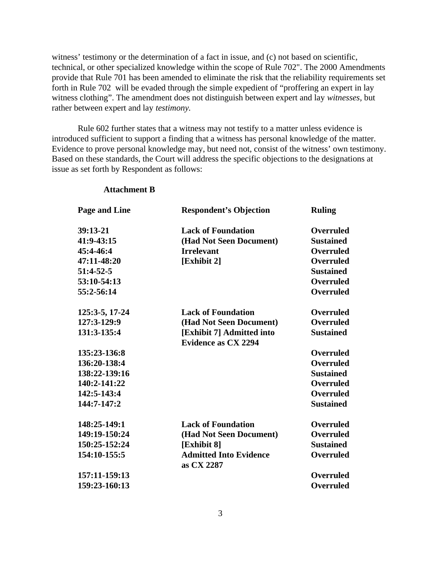witness' testimony or the determination of a fact in issue, and (c) not based on scientific, technical, or other specialized knowledge within the scope of Rule 702". The 2000 Amendments provide that Rule 701 has been amended to eliminate the risk that the reliability requirements set forth in Rule 702 will be evaded through the simple expedient of "proffering an expert in lay witness clothing". The amendment does not distinguish between expert and lay *witnesses,* but rather between expert and lay *testimony.* 

Rule 602 further states that a witness may not testify to a matter unless evidence is introduced sufficient to support a finding that a witness has personal knowledge of the matter. Evidence to prove personal knowledge may, but need not, consist of the witness' own testimony. Based on these standards, the Court will address the specific objections to the designations at issue as set forth by Respondent as follows:

| Page and Line  | <b>Respondent's Objection</b>                           | <b>Ruling</b>    |
|----------------|---------------------------------------------------------|------------------|
| 39:13-21       | <b>Lack of Foundation</b>                               | <b>Overruled</b> |
| 41:9-43:15     | (Had Not Seen Document)                                 | <b>Sustained</b> |
| 45:4-46:4      | <b>Irrelevant</b>                                       | <b>Overruled</b> |
| 47:11-48:20    | [Exhibit 2]                                             | <b>Overruled</b> |
| 51:4-52-5      |                                                         | <b>Sustained</b> |
| 53:10-54:13    |                                                         | <b>Overruled</b> |
| 55:2-56:14     |                                                         | <b>Overruled</b> |
| 125:3-5, 17-24 | <b>Lack of Foundation</b>                               | <b>Overruled</b> |
| 127:3-129:9    | (Had Not Seen Document)                                 | Overruled        |
| 131:3-135:4    | [Exhibit 7] Admitted into<br><b>Evidence as CX 2294</b> | <b>Sustained</b> |
| 135:23-136:8   |                                                         | <b>Overruled</b> |
| 136:20-138:4   |                                                         | <b>Overruled</b> |
| 138:22-139:16  |                                                         | <b>Sustained</b> |
| 140:2-141:22   |                                                         | <b>Overruled</b> |
| 142:5-143:4    |                                                         | <b>Overruled</b> |
| 144:7-147:2    |                                                         | <b>Sustained</b> |
| 148:25-149:1   | <b>Lack of Foundation</b>                               | <b>Overruled</b> |
| 149:19-150:24  | (Had Not Seen Document)                                 | <b>Overruled</b> |
| 150:25-152:24  | [Exhibit 8]                                             | <b>Sustained</b> |
| 154:10-155:5   | <b>Admitted Into Evidence</b><br>as CX 2287             | <b>Overruled</b> |
| 157:11-159:13  |                                                         | <b>Overruled</b> |
| 159:23-160:13  |                                                         | <b>Overruled</b> |

### **Attachment B**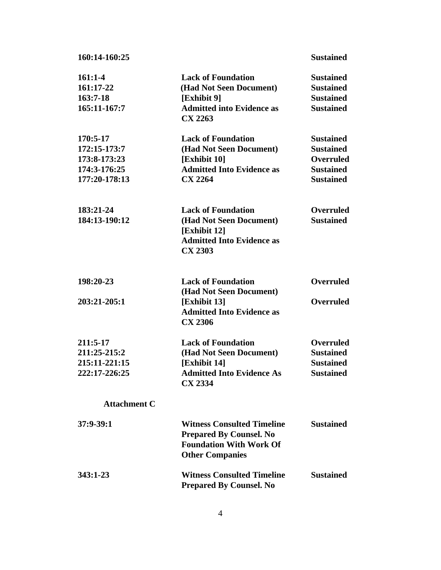| 160:14-160:25                                                             |                                                                                                                                 | <b>Sustained</b>                                                                                 |
|---------------------------------------------------------------------------|---------------------------------------------------------------------------------------------------------------------------------|--------------------------------------------------------------------------------------------------|
| $161:1-4$<br>161:17-22<br>$163:7-18$<br>165:11-167:7                      | <b>Lack of Foundation</b><br>(Had Not Seen Document)<br>[Exhibit 9]<br><b>Admitted into Evidence as</b><br><b>CX 2263</b>       | <b>Sustained</b><br><b>Sustained</b><br><b>Sustained</b><br><b>Sustained</b>                     |
| 170:5-17<br>172:15-173:7<br>173:8-173:23<br>174:3-176:25<br>177:20-178:13 | <b>Lack of Foundation</b><br>(Had Not Seen Document)<br>[Exhibit 10]<br><b>Admitted Into Evidence as</b><br><b>CX 2264</b>      | <b>Sustained</b><br><b>Sustained</b><br><b>Overruled</b><br><b>Sustained</b><br><b>Sustained</b> |
| 183:21-24<br>184:13-190:12                                                | <b>Lack of Foundation</b><br>(Had Not Seen Document)<br>[Exhibit 12]<br><b>Admitted Into Evidence as</b><br><b>CX 2303</b>      | <b>Overruled</b><br><b>Sustained</b>                                                             |
| 198:20-23<br>203:21-205:1                                                 | <b>Lack of Foundation</b><br>(Had Not Seen Document)<br>[Exhibit 13]<br><b>Admitted Into Evidence as</b><br><b>CX 2306</b>      | <b>Overruled</b><br><b>Overruled</b>                                                             |
| 211:5-17<br>211:25-215:2<br>215:11-221:15<br>222:17-226:25                | <b>Lack of Foundation</b><br>(Had Not Seen Document)<br>[Exhibit 14]<br><b>Admitted Into Evidence As</b><br><b>CX 2334</b>      | <b>Overruled</b><br><b>Sustained</b><br><b>Sustained</b><br><b>Sustained</b>                     |
| <b>Attachment C</b>                                                       |                                                                                                                                 |                                                                                                  |
| $37:9-39:1$                                                               | <b>Witness Consulted Timeline</b><br><b>Prepared By Counsel. No</b><br><b>Foundation With Work Of</b><br><b>Other Companies</b> | <b>Sustained</b>                                                                                 |
| 343:1-23                                                                  | <b>Witness Consulted Timeline</b><br><b>Prepared By Counsel. No</b>                                                             | <b>Sustained</b>                                                                                 |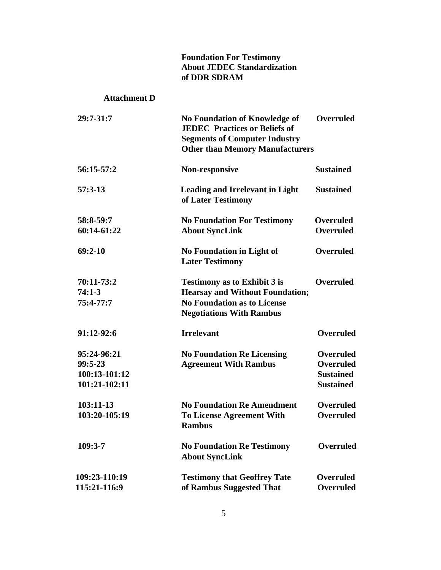# **Foundation For Testimony About JEDEC Standardization of DDR SDRAM**

## **Attachment D**

| 29:7-31:7     | <b>No Foundation of Knowledge of</b><br><b>JEDEC</b> Practices or Beliefs of<br><b>Segments of Computer Industry</b><br><b>Other than Memory Manufacturers</b> | <b>Overruled</b> |
|---------------|----------------------------------------------------------------------------------------------------------------------------------------------------------------|------------------|
| 56:15-57:2    | <b>Non-responsive</b>                                                                                                                                          | <b>Sustained</b> |
| $57:3-13$     | <b>Leading and Irrelevant in Light</b><br>of Later Testimony                                                                                                   | <b>Sustained</b> |
| 58:8-59:7     | <b>No Foundation For Testimony</b>                                                                                                                             | <b>Overruled</b> |
| 60:14-61:22   | <b>About SyncLink</b>                                                                                                                                          | <b>Overruled</b> |
| $69:2-10$     | <b>No Foundation in Light of</b><br><b>Later Testimony</b>                                                                                                     | <b>Overruled</b> |
| 70:11-73:2    | <b>Testimony as to Exhibit 3 is</b>                                                                                                                            | <b>Overruled</b> |
| $74:1-3$      | <b>Hearsay and Without Foundation;</b>                                                                                                                         |                  |
| 75:4-77:7     | <b>No Foundation as to License</b><br><b>Negotiations With Rambus</b>                                                                                          |                  |
| 91:12-92:6    | <b>Irrelevant</b>                                                                                                                                              | <b>Overruled</b> |
| 95:24-96:21   | <b>No Foundation Re Licensing</b>                                                                                                                              | <b>Overruled</b> |
| 99:5-23       | <b>Agreement With Rambus</b>                                                                                                                                   | <b>Overruled</b> |
| 100:13-101:12 |                                                                                                                                                                | <b>Sustained</b> |
| 101:21-102:11 |                                                                                                                                                                | <b>Sustained</b> |
| 103:11-13     | <b>No Foundation Re Amendment</b>                                                                                                                              | <b>Overruled</b> |
| 103:20-105:19 | <b>To License Agreement With</b><br><b>Rambus</b>                                                                                                              | <b>Overruled</b> |
| 109:3-7       | <b>No Foundation Re Testimony</b><br><b>About SyncLink</b>                                                                                                     | <b>Overruled</b> |
| 109:23-110:19 | <b>Testimony that Geoffrey Tate</b>                                                                                                                            | Overruled        |
| 115:21-116:9  | of Rambus Suggested That                                                                                                                                       | <b>Overruled</b> |